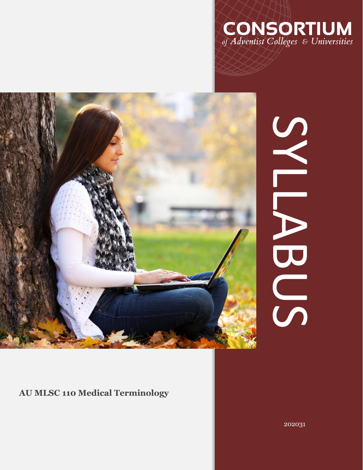



# SNEWBO SYLLABUS

# **AU MLSC 110 Medical Terminology**

202031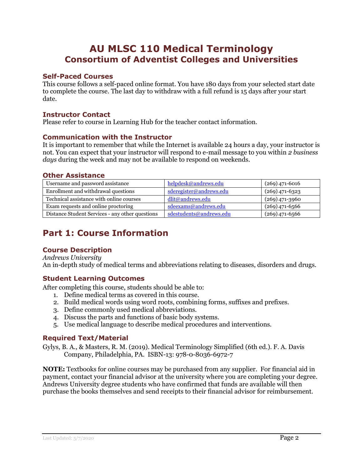# **AU MLSC 110 Medical Terminology Consortium of Adventist Colleges and Universities**

## **Self-Paced Courses**

This course follows a self-paced online format. You have 180 days from your selected start date to complete the course. The last day to withdraw with a full refund is 15 days after your start date.

### **Instructor Contact**

Please refer to course in Learning Hub for the teacher contact information.

## **Communication with the Instructor**

It is important to remember that while the Internet is available 24 hours a day, your instructor is not. You can expect that your instructor will respond to e-mail message to you within *2 business days* during the week and may not be available to respond on weekends.

#### **Other Assistance**

| Username and password assistance                | helpdesk@andrews.edu    | $(269)$ 471-6016 |
|-------------------------------------------------|-------------------------|------------------|
| Enrollment and withdrawal questions             | sderegister@andrews.edu | $(269)$ 471-6323 |
| Technical assistance with online courses        | dlit@andrews.edu        | $(269)$ 471-3960 |
| Exam requests and online proctoring             | sdeexams@andrews.edu    | $(269)$ 471-6566 |
| Distance Student Services - any other questions | sdestudents@andrews.edu | $(269)$ 471-6566 |

# **Part 1: Course Information**

# **Course Description**

*Andrews University* An in-depth study of medical terms and abbreviations relating to diseases, disorders and drugs.

# **Student Learning Outcomes**

After completing this course, students should be able to:

- 1. Define medical terms as covered in this course.
- 2. Build medical words using word roots, combining forms, suffixes and prefixes.
- 3. Define commonly used medical abbreviations.
- 4. Discuss the parts and functions of basic body systems.
- 5. Use medical language to describe medical procedures and interventions.

# **Required Text/Material**

Gylys, B. A., & Masters, R. M. (2019). Medical Terminology Simplified (6th ed.). F. A. Davis Company, Philadelphia, PA. ISBN-13: 978-0-8036-6972-7

**NOTE:** Textbooks for online courses may be purchased from any supplier. For financial aid in payment, contact your financial advisor at the university where you are completing your degree. Andrews University degree students who have confirmed that funds are available will then purchase the books themselves and send receipts to their financial advisor for reimbursement.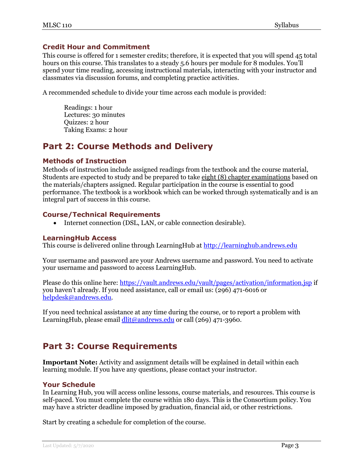## **Credit Hour and Commitment**

This course is offered for 1 semester credits; therefore, it is expected that you will spend 45 total hours on this course. This translates to a steady 5.6 hours per module for 8 modules. You'll spend your time reading, accessing instructional materials, interacting with your instructor and classmates via discussion forums, and completing practice activities.

A recommended schedule to divide your time across each module is provided:

Readings: 1 hour Lectures: 30 minutes Quizzes: 2 hour Taking Exams: 2 hour

# **Part 2: Course Methods and Delivery**

#### **Methods of Instruction**

Methods of instruction include assigned readings from the textbook and the course material, Students are expected to study and be prepared to take eight (8) chapter examinations based on the materials/chapters assigned. Regular participation in the course is essential to good performance. The textbook is a workbook which can be worked through systematically and is an integral part of success in this course.

## **Course/Technical Requirements**

• Internet connection (DSL, LAN, or cable connection desirable).

#### **LearningHub Access**

This course is delivered online through LearningHub at [http://learninghub.andrews.edu](http://learninghub.andrews.edu/) 

Your username and password are your Andrews username and password. You need to activate your username and password to access LearningHub.

Please do this online here:<https://vault.andrews.edu/vault/pages/activation/information.jsp> if you haven't already. If you need assistance, call or email us: (296) 471-6016 or [helpdesk@andrews.edu.](mailto:helpdesk@andrews.edu)

If you need technical assistance at any time during the course, or to report a problem with LearningHub, please email [dlit@andrews.edu](mailto:dlit@andrews.edu) or call (269) 471-3960.

# **Part 3: Course Requirements**

**Important Note:** Activity and assignment details will be explained in detail within each learning module. If you have any questions, please contact your instructor.

#### **Your Schedule**

In Learning Hub, you will access online lessons, course materials, and resources. This course is self-paced. You must complete the course within 180 days. This is the Consortium policy. You may have a stricter deadline imposed by graduation, financial aid, or other restrictions.

Start by creating a schedule for completion of the course.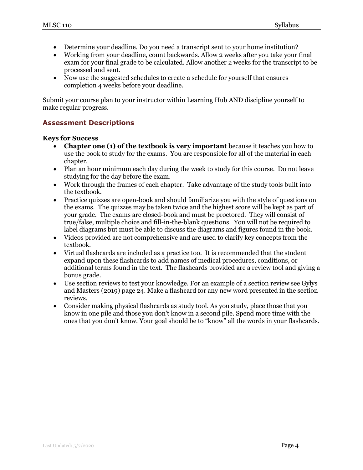- Determine your deadline. Do you need a transcript sent to your home institution?
- Working from your deadline, count backwards. Allow 2 weeks after you take your final exam for your final grade to be calculated. Allow another 2 weeks for the transcript to be processed and sent.
- Now use the suggested schedules to create a schedule for yourself that ensures completion 4 weeks before your deadline.

Submit your course plan to your instructor within Learning Hub AND discipline yourself to make regular progress.

# **Assessment Descriptions**

#### **Keys for Success**

- **Chapter one (1) of the textbook is very important** because it teaches you how to use the book to study for the exams. You are responsible for all of the material in each chapter.
- Plan an hour minimum each day during the week to study for this course. Do not leave studying for the day before the exam.
- Work through the frames of each chapter. Take advantage of the study tools built into the textbook.
- Practice quizzes are open-book and should familiarize you with the style of questions on the exams. The quizzes may be taken twice and the highest score will be kept as part of your grade. The exams are closed-book and must be proctored. They will consist of true/false, multiple choice and fill-in-the-blank questions. You will not be required to label diagrams but must be able to discuss the diagrams and figures found in the book.
- Videos provided are not comprehensive and are used to clarify key concepts from the textbook.
- Virtual flashcards are included as a practice too. It is recommended that the student expand upon these flashcards to add names of medical procedures, conditions, or additional terms found in the text. The flashcards provided are a review tool and giving a bonus grade.
- Use section reviews to test your knowledge. For an example of a section review see Gylys and Masters (2019) page 24. Make a flashcard for any new word presented in the section reviews.
- Consider making physical flashcards as study tool. As you study, place those that you know in one pile and those you don't know in a second pile. Spend more time with the ones that you don't know. Your goal should be to "know" all the words in your flashcards.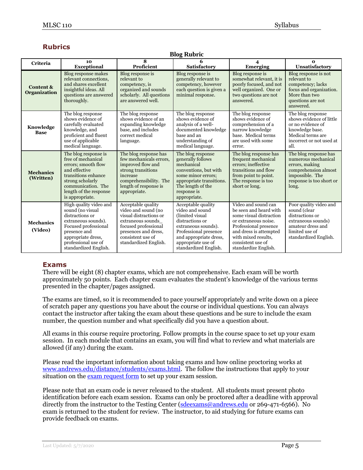# **Rubrics**

#### **Blog Rubric**

| <b>Criteria</b>                  | 10<br><b>Exceptional</b>                                                                                                                                                                           | 8<br>Proficient                                                                                                                                                                        | 6<br><b>Satisfactory</b>                                                                                                                                                                              | 4<br><b>Emerging</b>                                                                                                                                                                                                    | $\Omega$<br>Unsatisfactory                                                                                                                      |
|----------------------------------|----------------------------------------------------------------------------------------------------------------------------------------------------------------------------------------------------|----------------------------------------------------------------------------------------------------------------------------------------------------------------------------------------|-------------------------------------------------------------------------------------------------------------------------------------------------------------------------------------------------------|-------------------------------------------------------------------------------------------------------------------------------------------------------------------------------------------------------------------------|-------------------------------------------------------------------------------------------------------------------------------------------------|
| Content &<br><b>Organization</b> | Blog response makes<br>relevant connections,<br>and shares excellent<br>insightful ideas. All<br>questions are answered<br>thoroughly.                                                             | Blog response is<br>relevant to<br>competency, is<br>organized and sounds<br>scholarly. All questions<br>are answered well.                                                            | Blog response is<br>generally relevant to<br>competency, however<br>each question is given a<br>minimal response.                                                                                     | Blog response is<br>somewhat relevant, it is<br>poorly focused, and not<br>well organized. One or<br>two questions are not<br>answered.                                                                                 | Blog response is not<br>relevant to<br>competency; lacks<br>focus and organization.<br>More than two<br>questions are not<br>answered.          |
| Knowledge<br><b>Base</b>         | The blog response<br>shows evidence of<br>carefully evaluated<br>knowledge, and<br>proficient and fluent<br>use of applicable<br>medical language.                                                 | The blog response<br>shows evidence of an<br>expanding knowledge<br>base, and includes<br>correct medical<br>language.                                                                 | The blog response<br>shows evidence of<br>analysis of a well-<br>documented knowledge<br>base and an<br>understanding of<br>medical language.                                                         | The blog response<br>shows evidence of<br>comprehension of a<br>narrow knowledge<br>base. Medical terms<br>are used with some<br>error.                                                                                 | The blog response<br>shows evidence of little<br>or no evidence of<br>knowledge base.<br>Medical terms are<br>incorrect or not used at<br>all.  |
| <b>Mechanics</b><br>(Written)    | The blog response is<br>free of mechanical<br>errors; smooth flow<br>and effective<br>transitions enhance<br>strong scholarly<br>communication. The<br>length of the response<br>is appropriate.   | The blog response has<br>few mechanicals errors,<br>improved flow and<br>strong transitions<br>increase<br>comprehensibility. The<br>length of response is<br>appropriate.             | The blog response<br>generally follows<br>mechanical<br>conventions, but with<br>some minor errors;<br>appropriate transitions.<br>The length of the<br>response is<br>appropriate.                   | The blog response has<br>frequent mechanical<br>errors; ineffective<br>transitions and flow<br>from point to point.<br>The response is too<br>short or long.                                                            | The blog response has<br>numerous mechanical<br>errors, making<br>comprehension almost<br>impossible. The<br>response is too short or<br>long.  |
| <b>Mechanics</b><br>(Video)      | High quality video and<br>sound (no visual<br>distractions or<br>extraneous sounds).<br>Focused professional<br>presence and<br>appropriate dress,<br>professional use of<br>standardized English. | Acceptable quality<br>video and sound (no<br>visual distractions or<br>extraneous sounds<br>focused professional<br>presences and dress,<br>consistent use of<br>standardized English. | Acceptable quality<br>video and sound<br>(limited visual)<br>distractions or<br>extraneous sounds).<br>Professional presence<br>and appropriate dress,<br>appropriate use of<br>standardized English. | Video and sound can<br>be seen and heard with<br>some visual distraction<br>or extraneous noise.<br>Professional presence<br>and dress is attempted<br>with mixed results,<br>consistent use of<br>standardize English. | Poor quality video and<br>sound (clear<br>distractions or<br>extraneous sounds)<br>amateur dress and<br>limited use of<br>standardized English. |

# **Exams**

There will be eight (8) chapter exams, which are not comprehensive. Each exam will be worth approximately 50 points. Each chapter exam evaluates the student's knowledge of the various terms presented in the chapter/pages assigned.

The exams are timed, so it is recommended to pace yourself appropriately and write down on a piece of scratch paper any questions you have about the course or individual questions. You can always contact the instructor after taking the exam about these questions and be sure to include the exam number, the question number and what specifically did you have a question about.

All exams in this course require proctoring. Follow prompts in the course space to set up your exam session. In each module that contains an exam, you will find what to review and what materials are allowed (if any) during the exam.

Please read the important information about taking exams and how online proctoring works at [www.andrews.edu/distance/students/exams.html.](http://www.andrews.edu/distance/students/exams.html) The follow the instructions that apply to your situation on the [exam request form](https://www.andrews.edu/sde/ex_req.php) to set up your exam session.

Please note that an exam code is never released to the student. All students must present photo identification before each exam session. Exams can only be proctored after a deadline with approval directly from the instructor to the Testing Center [\(sdeexams@andrews.edu](mailto:sdeexams@andrews.edu) or 269-471-6566). No exam is returned to the student for review. The instructor, to aid studying for future exams can provide feedback on exams.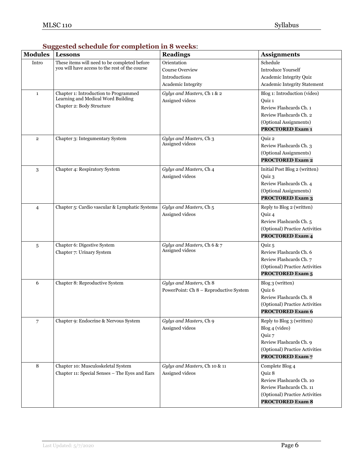| <b>Modules</b> | ouggested schedule for completion in 6 weeks.<br><b>Lessons</b> | <b>Readings</b>                                | <b>Assignments</b>             |
|----------------|-----------------------------------------------------------------|------------------------------------------------|--------------------------------|
| Intro          | These items will need to be completed before                    | Orientation                                    | Schedule                       |
|                | you will have access to the rest of the course                  | <b>Course Overview</b>                         | Introduce Yourself             |
|                |                                                                 |                                                |                                |
|                |                                                                 | <b>Introductions</b>                           | Academic Integrity Quiz        |
|                |                                                                 | Academic Integrity                             | Academic Integrity Statement   |
| $\mathbf{1}$   | Chapter 1: Introduction to Programmed                           | Gylys and Masters, Ch 1 & 2                    | Blog 1: Introduction (video)   |
|                | Learning and Medical Word Building                              | Assigned videos                                | Quiz 1                         |
|                | Chapter 2: Body Structure                                       |                                                | Review Flashcards Ch. 1        |
|                |                                                                 |                                                | Review Flashcards Ch. 2        |
|                |                                                                 |                                                | (Optional Assignments)         |
|                |                                                                 |                                                | <b>PROCTORED Exam 1</b>        |
| $\overline{2}$ | Chapter 3: Integumentary System                                 | Gylys and Masters, Ch 3                        | Quiz 2                         |
|                |                                                                 | Assigned videos                                | Review Flashcards Ch. 3        |
|                |                                                                 |                                                | (Optional Assignments)         |
|                |                                                                 |                                                | <b>PROCTORED Exam 2</b>        |
| 3              | Chapter 4: Respiratory System                                   | Gylys and Masters, Ch 4                        | Initial Post Blog 2 (written)  |
|                |                                                                 | Assigned videos                                | Quiz 3                         |
|                |                                                                 |                                                | Review Flashcards Ch. 4        |
|                |                                                                 |                                                | (Optional Assignments)         |
|                |                                                                 |                                                | <b>PROCTORED Exam 3</b>        |
| $\overline{4}$ | Chapter 5: Cardio vascular & Lymphatic Systems                  | Gylys and Masters, Ch 5                        | Reply to Blog 2 (written)      |
|                |                                                                 | Assigned videos                                | Quiz 4                         |
|                |                                                                 |                                                | Review Flashcards Ch. 5        |
|                |                                                                 |                                                | (Optional) Practice Activities |
|                |                                                                 |                                                | <b>PROCTORED Exam 4</b>        |
|                |                                                                 |                                                |                                |
| 5              | Chapter 6: Digestive System                                     | Gylys and Masters, Ch 6 & 7<br>Assigned videos | Quiz 5                         |
|                | Chapter 7: Urinary System                                       |                                                | Review Flashcards Ch. 6        |
|                |                                                                 |                                                | Review Flashcards Ch. 7        |
|                |                                                                 |                                                | (Optional) Practice Activities |
|                |                                                                 |                                                | <b>PROCTORED Exam 5</b>        |
| 6              | Chapter 8: Reproductive System                                  | Gylys and Masters, Ch 8                        | Blog 3 (written)               |
|                |                                                                 | PowerPoint: Ch 8 - Reproductive System         | Quiz 6                         |
|                |                                                                 |                                                | Review Flashcards Ch. 8        |
|                |                                                                 |                                                | (Optional) Practice Activities |
|                |                                                                 |                                                | <b>PROCTORED Exam 6</b>        |
| $\overline{7}$ | Chapter 9: Endocrine & Nervous System                           | Gylys and Masters, Ch 9                        | Reply to Blog 3 (written)      |
|                |                                                                 | Assigned videos                                | Blog 4 (video)                 |
|                |                                                                 |                                                | Quiz 7                         |
|                |                                                                 |                                                | Review Flashcards Ch. 9        |
|                |                                                                 |                                                | (Optional) Practice Activities |
|                |                                                                 |                                                | <b>PROCTORED Exam 7</b>        |
| 8              | Chapter 10: Musculoskeletal System                              | Gylys and Masters, Ch 10 & 11                  | Complete Blog 4                |
|                | Chapter 11: Special Senses - The Eyes and Ears                  | Assigned videos                                | Quiz 8                         |
|                |                                                                 |                                                | Review Flashcards Ch. 10       |
|                |                                                                 |                                                | Review Flashcards Ch. 11       |
|                |                                                                 |                                                | (Optional) Practice Activities |
|                |                                                                 |                                                | <b>PROCTORED Exam 8</b>        |

### **Suggested schedule for completion in 8 weeks**: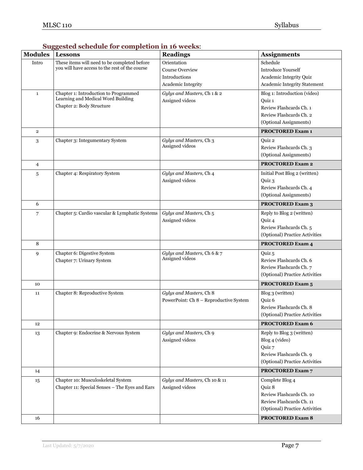| <b>Modules</b>          | <b>Lessons</b>                                                                                           | <b>Readings</b>                                                       | <b>Assignments</b>                                                                                                     |
|-------------------------|----------------------------------------------------------------------------------------------------------|-----------------------------------------------------------------------|------------------------------------------------------------------------------------------------------------------------|
| Intro                   | These items will need to be completed before<br>you will have access to the rest of the course           | Orientation<br>Course Overview<br>Introductions<br>Academic Integrity | Schedule<br><b>Introduce Yourself</b><br>Academic Integrity Quiz<br>Academic Integrity Statement                       |
| $\mathbf{1}$            | Chapter 1: Introduction to Programmed<br>Learning and Medical Word Building<br>Chapter 2: Body Structure | Gylys and Masters, Ch 1 & 2<br>Assigned videos                        | Blog 1: Introduction (video)<br>Quiz 1<br>Review Flashcards Ch. 1<br>Review Flashcards Ch. 2<br>(Optional Assignments) |
| $\overline{\mathbf{2}}$ |                                                                                                          |                                                                       | <b>PROCTORED Exam 1</b>                                                                                                |
| 3                       | Chapter 3: Integumentary System                                                                          | Gylys and Masters, Ch 3<br>Assigned videos                            | Quiz 2<br>Review Flashcards Ch. 3<br>(Optional Assignments)                                                            |
| $\overline{4}$          |                                                                                                          |                                                                       | <b>PROCTORED Exam 2</b>                                                                                                |
| 5                       | Chapter 4: Respiratory System                                                                            | Gylys and Masters, Ch 4<br>Assigned videos                            | Initial Post Blog 2 (written)<br>Ouiz 3<br>Review Flashcards Ch. 4<br>(Optional Assignments)                           |
| 6                       |                                                                                                          |                                                                       | <b>PROCTORED Exam 3</b>                                                                                                |
| 7                       | Chapter 5: Cardio vascular & Lymphatic Systems                                                           | Gylys and Masters, Ch 5<br>Assigned videos                            | Reply to Blog 2 (written)<br>Quiz 4<br>Review Flashcards Ch. 5<br>(Optional) Practice Activities                       |
| 8                       |                                                                                                          |                                                                       | <b>PROCTORED Exam 4</b>                                                                                                |
| 9                       | Chapter 6: Digestive System<br>Chapter 7: Urinary System                                                 | Gylys and Masters, Ch 6 & 7<br>Assigned videos                        | Quiz 5<br>Review Flashcards Ch. 6<br>Review Flashcards Ch. 7<br>(Optional) Practice Activities                         |
| 10                      |                                                                                                          |                                                                       | <b>PROCTORED Exam 5</b>                                                                                                |
| 11                      | Chapter 8: Reproductive System                                                                           | Gylys and Masters, Ch 8<br>PowerPoint: Ch 8 - Reproductive System     | Blog 3 (written)<br>Quiz 6<br>Review Flashcards Ch. 8<br>(Optional) Practice Activities                                |
| 12                      |                                                                                                          |                                                                       | <b>PROCTORED Exam 6</b>                                                                                                |
| 13                      | Chapter 9: Endocrine & Nervous System                                                                    | Gylys and Masters, Ch 9<br>Assigned videos                            | Reply to Blog 3 (written)<br>Blog 4 (video)<br>Quiz 7<br>Review Flashcards Ch. 9<br>(Optional) Practice Activities     |
| 14                      |                                                                                                          |                                                                       | <b>PROCTORED Exam 7</b>                                                                                                |
| 15                      | Chapter 10: Musculoskeletal System<br>Chapter 11: Special Senses - The Eyes and Ears                     | Gylys and Masters, Ch 10 & 11<br>Assigned videos                      | Complete Blog 4<br>Quiz 8<br>Review Flashcards Ch. 10<br>Review Flashcards Ch. 11<br>(Optional) Practice Activities    |
| 16                      |                                                                                                          |                                                                       | <b>PROCTORED Exam 8</b>                                                                                                |

# **Suggested schedule for completion in 16 weeks**: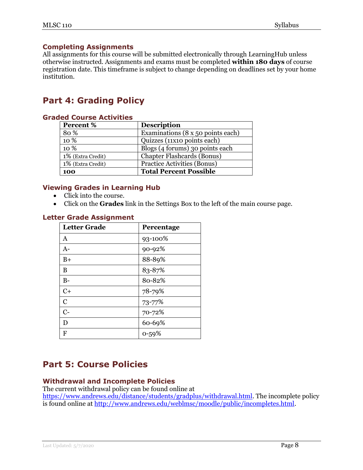## **Completing Assignments**

All assignments for this course will be submitted electronically through LearningHub unless otherwise instructed. Assignments and exams must be completed **within 180 days** of course registration date. This timeframe is subject to change depending on deadlines set by your home institution.

# **Part 4: Grading Policy**

| ICU COUISE ACLIVILIES |                                   |  |
|-----------------------|-----------------------------------|--|
| Percent %             | <b>Description</b>                |  |
| 80%                   | Examinations (8 x 50 points each) |  |
| 10 %                  | Quizzes (11x10 points each)       |  |
| 10 %                  | Blogs (4 forums) 30 points each   |  |
| 1% (Extra Credit)     | <b>Chapter Flashcards (Bonus)</b> |  |
| 1% (Extra Credit)     | Practice Activities (Bonus)       |  |
| 100                   | <b>Total Percent Possible</b>     |  |

# **Graded Course Activities**

## **Viewing Grades in Learning Hub**

- Click into the course.
- Click on the **Grades** link in the Settings Box to the left of the main course page.

#### **Letter Grade Assignment**

| <b>Letter Grade</b> | Percentage |
|---------------------|------------|
| A                   | 93-100%    |
| $A -$               | 90-92%     |
| $B+$                | 88-89%     |
| B                   | 83-87%     |
| $B-$                | 80-82%     |
| $C+$                | 78-79%     |
| $\mathbf C$         | 73-77%     |
| $C-$                | 70-72%     |
| D                   | 60-69%     |
| F                   | $0 - 59%$  |

# **Part 5: Course Policies**

#### **Withdrawal and Incomplete Policies**

The current withdrawal policy can be found online at [https://www.andrews.edu/distance/students/gradplus/withdrawal.html.](https://www.andrews.edu/distance/students/gradplus/withdrawal.html) The incomplete policy is found online at [http://www.andrews.edu/weblmsc/moodle/public/incompletes.html.](http://www.andrews.edu/weblmsc/moodle/public/incompletes.html)